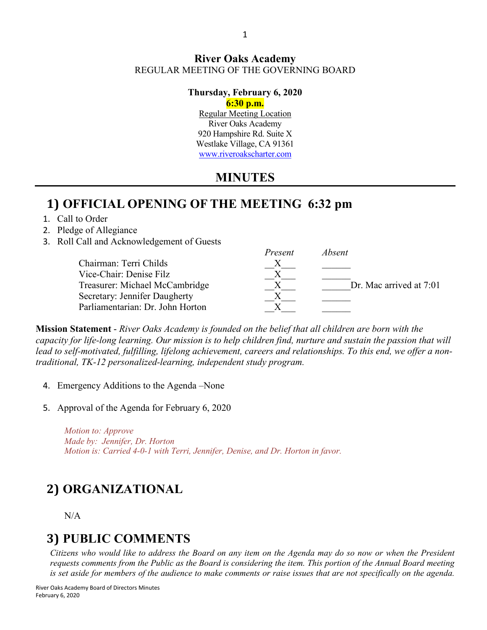#### **River Oaks Academy** REGULAR MEETING OF THE GOVERNING BOARD

### **Thursday, February 6, 2020**

**6:30 p.m.**

Regular Meeting Location River Oaks Academy 920 Hampshire Rd. Suite X Westlake Village, CA 91361 [www.riveroakscharter.com](http://www.riveroakscharter.com/)

## **MINUTES**

### **1) OFFICIAL OPENING OF THE MEETING 6:32 pm**

- 1. Call to Order
- 2. Pledge of Allegiance
- 3. Roll Call and Acknowledgement of Guests

|                                  | Present | Absent                  |
|----------------------------------|---------|-------------------------|
| Chairman: Terri Childs           |         |                         |
| Vice-Chair: Denise Filz          |         |                         |
| Treasurer: Michael McCambridge   |         | Dr. Mac arrived at 7:01 |
| Secretary: Jennifer Daugherty    |         |                         |
| Parliamentarian: Dr. John Horton |         |                         |

**Mission Statement** - *River Oaks Academy is founded on the belief that all children are born with the capacity for life-long learning. Our mission is to help children find, nurture and sustain the passion that will lead to self-motivated, fulfilling, lifelong achievement, careers and relationships. To this end, we offer a nontraditional, TK-12 personalized-learning, independent study program.* 

- 4. Emergency Additions to the Agenda –None
- 5. Approval of the Agenda for February 6, 2020

*Motion to: Approve Made by: Jennifer, Dr. Horton Motion is: Carried 4-0-1 with Terri, Jennifer, Denise, and Dr. Horton in favor.*

# **2) ORGANIZATIONAL**

#### N/A

## **3) PUBLIC COMMENTS**

*Citizens who would like to address the Board on any item on the Agenda may do so now or when the President requests comments from the Public as the Board is considering the item. This portion of the Annual Board meeting is set aside for members of the audience to make comments or raise issues that are not specifically on the agenda.*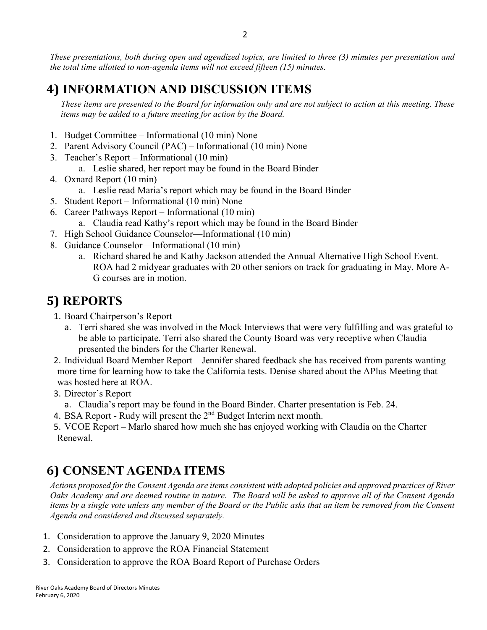*These presentations, both during open and agendized topics, are limited to three (3) minutes per presentation and the total time allotted to non-agenda items will not exceed fifteen (15) minutes.*

## **4) INFORMATION AND DISCUSSION ITEMS**

*These items are presented to the Board for information only and are not subject to action at this meeting. These items may be added to a future meeting for action by the Board.*

- 1. Budget Committee Informational (10 min) None
- 2. Parent Advisory Council (PAC) Informational (10 min) None
- 3. Teacher's Report Informational (10 min)
	- a. Leslie shared, her report may be found in the Board Binder
- 4. Oxnard Report (10 min)
	- a. Leslie read Maria's report which may be found in the Board Binder
- 5. Student Report Informational (10 min) None
- 6. Career Pathways Report Informational (10 min)
	- a. Claudia read Kathy's report which may be found in the Board Binder
- 7. High School Guidance Counselor—Informational (10 min)
- 8. Guidance Counselor—Informational (10 min)
	- a. Richard shared he and Kathy Jackson attended the Annual Alternative High School Event. ROA had 2 midyear graduates with 20 other seniors on track for graduating in May. More A-G courses are in motion.

## **5) REPORTS**

- 1. Board Chairperson's Report
	- a. Terri shared she was involved in the Mock Interviews that were very fulfilling and was grateful to be able to participate. Terri also shared the County Board was very receptive when Claudia presented the binders for the Charter Renewal.
- 2. Individual Board Member Report Jennifer shared feedback she has received from parents wanting more time for learning how to take the California tests. Denise shared about the APlus Meeting that was hosted here at ROA.
- 3. Director's Report
- a. Claudia's report may be found in the Board Binder. Charter presentation is Feb. 24.
- 4. BSA Report Rudy will present the 2<sup>nd</sup> Budget Interim next month.
- 5. VCOE Report Marlo shared how much she has enjoyed working with Claudia on the Charter Renewal.

## **6) CONSENT AGENDA ITEMS**

*Actions proposed for the Consent Agenda are items consistent with adopted policies and approved practices of River Oaks Academy and are deemed routine in nature. The Board will be asked to approve all of the Consent Agenda items by a single vote unless any member of the Board or the Public asks that an item be removed from the Consent Agenda and considered and discussed separately.*

- 1. Consideration to approve the January 9, 2020 Minutes
- 2. Consideration to approve the ROA Financial Statement
- 3. Consideration to approve the ROA Board Report of Purchase Orders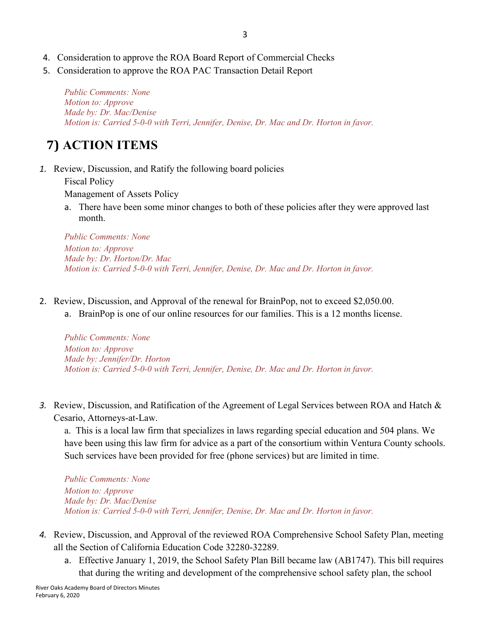- 4. Consideration to approve the ROA Board Report of Commercial Checks
- 5. Consideration to approve the ROA PAC Transaction Detail Report

*Public Comments: None Motion to: Approve Made by: Dr. Mac/Denise Motion is: Carried 5-0-0 with Terri, Jennifer, Denise, Dr. Mac and Dr. Horton in favor.*

# **7) ACTION ITEMS**

*1.* Review, Discussion, and Ratify the following board policies

Fiscal Policy

Management of Assets Policy

a. There have been some minor changes to both of these policies after they were approved last month.

*Public Comments: None Motion to: Approve Made by: Dr. Horton/Dr. Mac Motion is: Carried 5-0-0 with Terri, Jennifer, Denise, Dr. Mac and Dr. Horton in favor.*

- 2. Review, Discussion, and Approval of the renewal for BrainPop, not to exceed \$2,050.00.
	- a. BrainPop is one of our online resources for our families. This is a 12 months license.

*Public Comments: None Motion to: Approve Made by: Jennifer/Dr. Horton Motion is: Carried 5-0-0 with Terri, Jennifer, Denise, Dr. Mac and Dr. Horton in favor.*

*3.* Review, Discussion, and Ratification of the Agreement of Legal Services between ROA and Hatch & Cesario, Attorneys-at-Law.

a. This is a local law firm that specializes in laws regarding special education and 504 plans. We have been using this law firm for advice as a part of the consortium within Ventura County schools. Such services have been provided for free (phone services) but are limited in time.

*Public Comments: None Motion to: Approve Made by: Dr. Mac/Denise Motion is: Carried 5-0-0 with Terri, Jennifer, Denise, Dr. Mac and Dr. Horton in favor.*

- *4.* Review, Discussion, and Approval of the reviewed ROA Comprehensive School Safety Plan, meeting all the Section of California Education Code 32280-32289.
	- a. Effective January 1, 2019, the School Safety Plan Bill became law (AB1747). This bill requires that during the writing and development of the comprehensive school safety plan, the school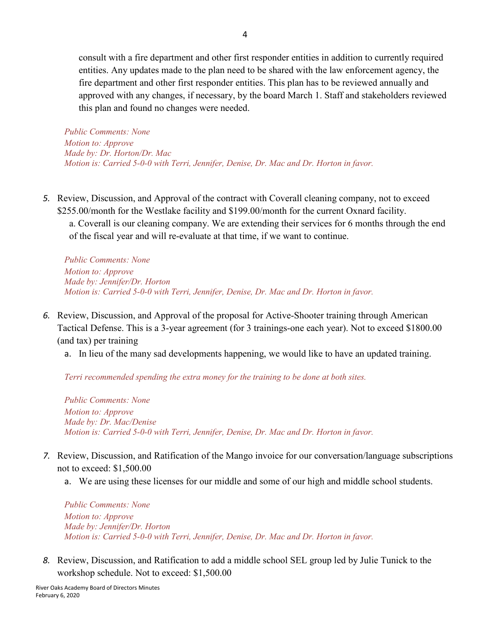consult with a fire department and other first responder entities in addition to currently required entities. Any updates made to the plan need to be shared with the law enforcement agency, the fire department and other first responder entities. This plan has to be reviewed annually and approved with any changes, if necessary, by the board March 1. Staff and stakeholders reviewed this plan and found no changes were needed.

*Public Comments: None Motion to: Approve Made by: Dr. Horton/Dr. Mac Motion is: Carried 5-0-0 with Terri, Jennifer, Denise, Dr. Mac and Dr. Horton in favor.*

*5.* Review, Discussion, and Approval of the contract with Coverall cleaning company, not to exceed \$255.00/month for the Westlake facility and \$199.00/month for the current Oxnard facility.

a. Coverall is our cleaning company. We are extending their services for 6 months through the end of the fiscal year and will re-evaluate at that time, if we want to continue.

*Public Comments: None Motion to: Approve Made by: Jennifer/Dr. Horton Motion is: Carried 5-0-0 with Terri, Jennifer, Denise, Dr. Mac and Dr. Horton in favor.*

- *6.* Review, Discussion, and Approval of the proposal for Active-Shooter training through American Tactical Defense. This is a 3-year agreement (for 3 trainings-one each year). Not to exceed \$1800.00 (and tax) per training
	- a. In lieu of the many sad developments happening, we would like to have an updated training.

*Terri recommended spending the extra money for the training to be done at both sites.*

*Public Comments: None Motion to: Approve Made by: Dr. Mac/Denise Motion is: Carried 5-0-0 with Terri, Jennifer, Denise, Dr. Mac and Dr. Horton in favor.*

- *7.* Review, Discussion, and Ratification of the Mango invoice for our conversation/language subscriptions not to exceed: \$1,500.00
	- a. We are using these licenses for our middle and some of our high and middle school students.

*Public Comments: None Motion to: Approve Made by: Jennifer/Dr. Horton Motion is: Carried 5-0-0 with Terri, Jennifer, Denise, Dr. Mac and Dr. Horton in favor.*

*8.* Review, Discussion, and Ratification to add a middle school SEL group led by Julie Tunick to the workshop schedule. Not to exceed: \$1,500.00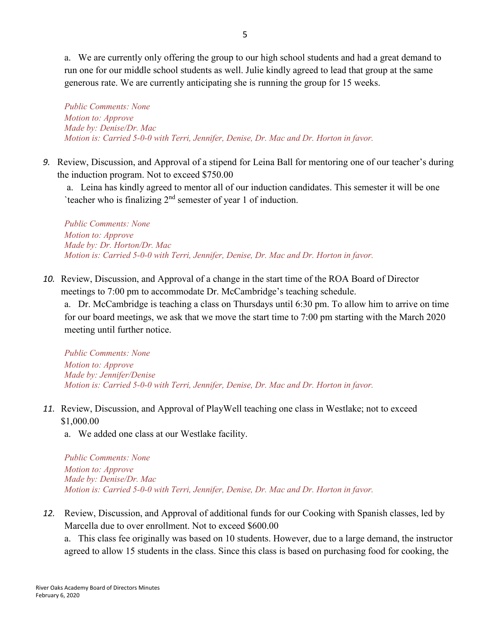a. We are currently only offering the group to our high school students and had a great demand to run one for our middle school students as well. Julie kindly agreed to lead that group at the same generous rate. We are currently anticipating she is running the group for 15 weeks.

*Public Comments: None Motion to: Approve Made by: Denise/Dr. Mac Motion is: Carried 5-0-0 with Terri, Jennifer, Denise, Dr. Mac and Dr. Horton in favor.*

*9.* Review, Discussion, and Approval of a stipend for Leina Ball for mentoring one of our teacher's during the induction program. Not to exceed \$750.00

a. Leina has kindly agreed to mentor all of our induction candidates. This semester it will be one 'teacher who is finalizing  $2<sup>nd</sup>$  semester of year 1 of induction.

*Public Comments: None Motion to: Approve Made by: Dr. Horton/Dr. Mac Motion is: Carried 5-0-0 with Terri, Jennifer, Denise, Dr. Mac and Dr. Horton in favor.*

*10.* Review, Discussion, and Approval of a change in the start time of the ROA Board of Director meetings to 7:00 pm to accommodate Dr. McCambridge's teaching schedule.

a. Dr. McCambridge is teaching a class on Thursdays until 6:30 pm. To allow him to arrive on time for our board meetings, we ask that we move the start time to 7:00 pm starting with the March 2020 meeting until further notice.

*Public Comments: None Motion to: Approve Made by: Jennifer/Denise Motion is: Carried 5-0-0 with Terri, Jennifer, Denise, Dr. Mac and Dr. Horton in favor.*

- *11.* Review, Discussion, and Approval of PlayWell teaching one class in Westlake; not to exceed \$1,000.00
	- a. We added one class at our Westlake facility.

*Public Comments: None Motion to: Approve Made by: Denise/Dr. Mac Motion is: Carried 5-0-0 with Terri, Jennifer, Denise, Dr. Mac and Dr. Horton in favor.*

*12.* Review, Discussion, and Approval of additional funds for our Cooking with Spanish classes, led by Marcella due to over enrollment. Not to exceed \$600.00

a. This class fee originally was based on 10 students. However, due to a large demand, the instructor agreed to allow 15 students in the class. Since this class is based on purchasing food for cooking, the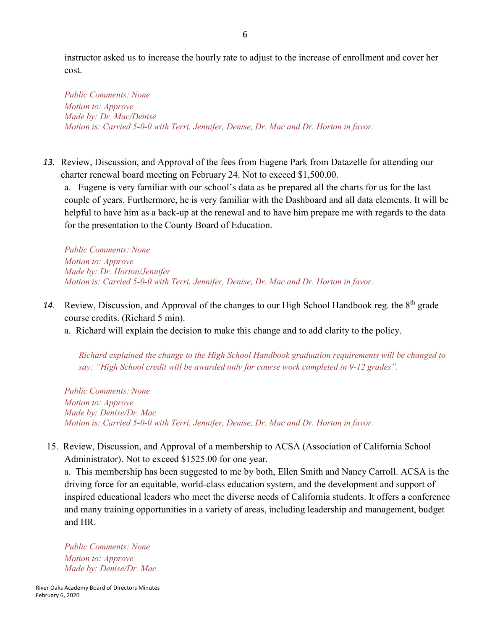instructor asked us to increase the hourly rate to adjust to the increase of enrollment and cover her cost.

*Public Comments: None Motion to: Approve Made by: Dr. Mac/Denise Motion is: Carried 5-0-0 with Terri, Jennifer, Denise, Dr. Mac and Dr. Horton in favor.*

*13.* Review, Discussion, and Approval of the fees from Eugene Park from Datazelle for attending our charter renewal board meeting on February 24. Not to exceed \$1,500.00.

a. Eugene is very familiar with our school's data as he prepared all the charts for us for the last couple of years. Furthermore, he is very familiar with the Dashboard and all data elements. It will be helpful to have him as a back-up at the renewal and to have him prepare me with regards to the data for the presentation to the County Board of Education.

*Public Comments: None Motion to: Approve Made by: Dr. Horton/Jennifer Motion is: Carried 5-0-0 with Terri, Jennifer, Denise, Dr. Mac and Dr. Horton in favor.*

- 14. Review, Discussion, and Approval of the changes to our High School Handbook reg. the 8<sup>th</sup> grade course credits. (Richard 5 min).
	- a. Richard will explain the decision to make this change and to add clarity to the policy.

*Richard explained the change to the High School Handbook graduation requirements will be changed to say: "High School credit will be awarded only for course work completed in 9-12 grades".* 

*Public Comments: None Motion to: Approve Made by: Denise/Dr. Mac Motion is: Carried 5-0-0 with Terri, Jennifer, Denise, Dr. Mac and Dr. Horton in favor.*

15. Review, Discussion, and Approval of a membership to ACSA (Association of California School Administrator). Not to exceed \$1525.00 for one year.

a. This membership has been suggested to me by both, Ellen Smith and Nancy Carroll. ACSA is the driving force for an equitable, world-class education system, and the development and support of inspired educational leaders who meet the diverse needs of California students. It offers a conference and many training opportunities in a variety of areas, including leadership and management, budget and HR.

*Public Comments: None Motion to: Approve Made by: Denise/Dr. Mac*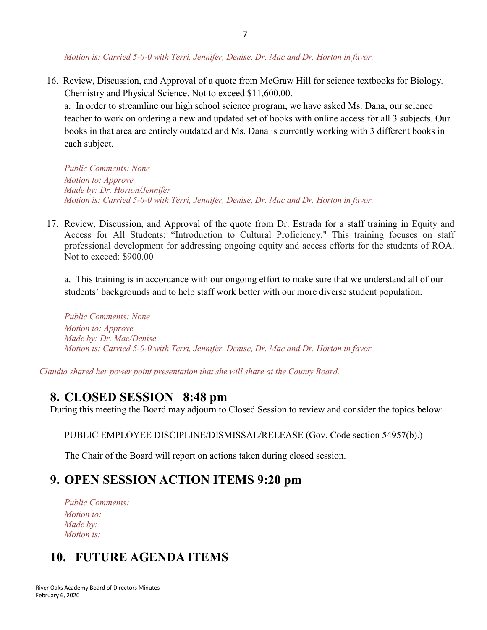7

*Motion is: Carried 5-0-0 with Terri, Jennifer, Denise, Dr. Mac and Dr. Horton in favor.*

16. Review, Discussion, and Approval of a quote from McGraw Hill for science textbooks for Biology, Chemistry and Physical Science. Not to exceed \$11,600.00.

a. In order to streamline our high school science program, we have asked Ms. Dana, our science teacher to work on ordering a new and updated set of books with online access for all 3 subjects. Our books in that area are entirely outdated and Ms. Dana is currently working with 3 different books in each subject.

*Public Comments: None Motion to: Approve Made by: Dr. Horton/Jennifer Motion is: Carried 5-0-0 with Terri, Jennifer, Denise, Dr. Mac and Dr. Horton in favor.*

17. Review, Discussion, and Approval of the quote from Dr. Estrada for a staff training in Equity and Access for All Students: "Introduction to Cultural Proficiency," This training focuses on staff professional development for addressing ongoing equity and access efforts for the students of ROA. Not to exceed: \$900.00

a. This training is in accordance with our ongoing effort to make sure that we understand all of our students' backgrounds and to help staff work better with our more diverse student population.

*Public Comments: None Motion to: Approve Made by: Dr. Mac/Denise Motion is: Carried 5-0-0 with Terri, Jennifer, Denise, Dr. Mac and Dr. Horton in favor.*

*Claudia shared her power point presentation that she will share at the County Board.*

#### **8. CLOSED SESSION 8:48 pm**

During this meeting the Board may adjourn to Closed Session to review and consider the topics below:

PUBLIC EMPLOYEE DISCIPLINE/DISMISSAL/RELEASE (Gov. Code section 54957(b).)

The Chair of the Board will report on actions taken during closed session.

#### **9. OPEN SESSION ACTION ITEMS 9:20 pm**

*Public Comments: Motion to: Made by: Motion is:*

#### **10. FUTURE AGENDA ITEMS**